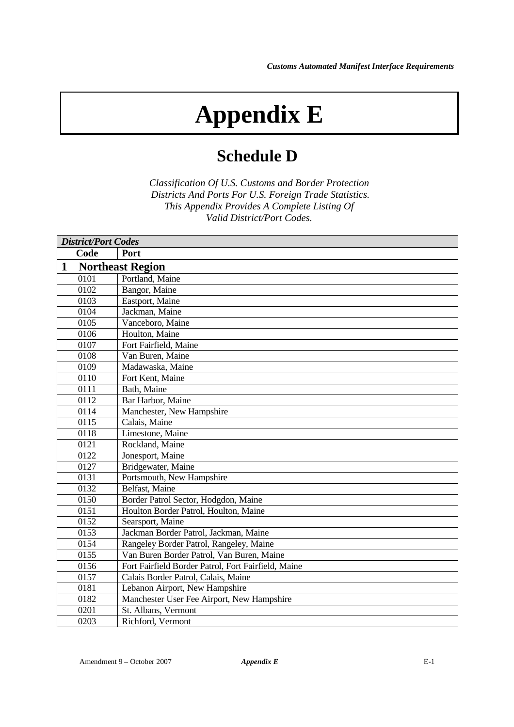## **Appendix E**

## **Schedule D**

*Classification Of U.S. Customs and Border Protection Districts And Ports For U.S. Foreign Trade Statistics. This Appendix Provides A Complete Listing Of Valid District/Port Codes.*

| <b>District/Port Codes</b> |                                                     |  |
|----------------------------|-----------------------------------------------------|--|
| Code                       | Port                                                |  |
| $\mathbf{1}$               | <b>Northeast Region</b>                             |  |
| 0101                       | Portland, Maine                                     |  |
| 0102                       | Bangor, Maine                                       |  |
| 0103                       | Eastport, Maine                                     |  |
| 0104                       | Jackman, Maine                                      |  |
| 0105                       | Vanceboro, Maine                                    |  |
| 0106                       | Houlton, Maine                                      |  |
| 0107                       | Fort Fairfield, Maine                               |  |
| 0108                       | Van Buren, Maine                                    |  |
| 0109                       | Madawaska, Maine                                    |  |
| 0110                       | Fort Kent, Maine                                    |  |
| $\overline{0111}$          | Bath, Maine                                         |  |
| 0112                       | Bar Harbor, Maine                                   |  |
| 0114                       | Manchester, New Hampshire                           |  |
| 0115                       | Calais, Maine                                       |  |
| 0118                       | Limestone, Maine                                    |  |
| 0121                       | Rockland, Maine                                     |  |
| 0122                       | Jonesport, Maine                                    |  |
| 0127                       | Bridgewater, Maine                                  |  |
| 0131                       | Portsmouth, New Hampshire                           |  |
| 0132                       | Belfast, Maine                                      |  |
| 0150                       | Border Patrol Sector, Hodgdon, Maine                |  |
| 0151                       | Houlton Border Patrol, Houlton, Maine               |  |
| 0152                       | Searsport, Maine                                    |  |
| 0153                       | Jackman Border Patrol, Jackman, Maine               |  |
| 0154                       | Rangeley Border Patrol, Rangeley, Maine             |  |
| 0155                       | Van Buren Border Patrol, Van Buren, Maine           |  |
| 0156                       | Fort Fairfield Border Patrol, Fort Fairfield, Maine |  |
| 0157                       | Calais Border Patrol, Calais, Maine                 |  |
| 0181                       | Lebanon Airport, New Hampshire                      |  |
| 0182                       | Manchester User Fee Airport, New Hampshire          |  |
| 0201                       | St. Albans, Vermont                                 |  |
| 0203                       | Richford, Vermont                                   |  |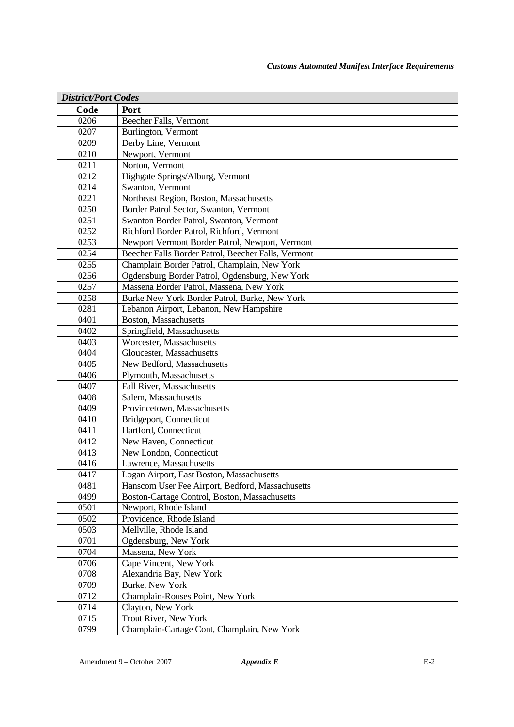| <b>District/Port Codes</b> |                                                     |  |
|----------------------------|-----------------------------------------------------|--|
| Code                       | Port                                                |  |
| 0206                       | Beecher Falls, Vermont                              |  |
| 0207                       | Burlington, Vermont                                 |  |
| 0209                       | Derby Line, Vermont                                 |  |
| 0210                       | Newport, Vermont                                    |  |
| 0211                       | Norton, Vermont                                     |  |
| 0212                       | Highgate Springs/Alburg, Vermont                    |  |
| 0214                       | Swanton, Vermont                                    |  |
| 0221                       | Northeast Region, Boston, Massachusetts             |  |
| 0250                       | Border Patrol Sector, Swanton, Vermont              |  |
| 0251                       | Swanton Border Patrol, Swanton, Vermont             |  |
| 0252                       | Richford Border Patrol, Richford, Vermont           |  |
| 0253                       | Newport Vermont Border Patrol, Newport, Vermont     |  |
| 0254                       | Beecher Falls Border Patrol, Beecher Falls, Vermont |  |
| 0255                       | Champlain Border Patrol, Champlain, New York        |  |
| 0256                       | Ogdensburg Border Patrol, Ogdensburg, New York      |  |
| 0257                       | Massena Border Patrol, Massena, New York            |  |
| 0258                       | Burke New York Border Patrol, Burke, New York       |  |
| 0281                       | Lebanon Airport, Lebanon, New Hampshire             |  |
| 0401                       | Boston, Massachusetts                               |  |
| 0402                       | Springfield, Massachusetts                          |  |
| 0403                       | Worcester, Massachusetts                            |  |
| 0404                       | Gloucester, Massachusetts                           |  |
| 0405                       | New Bedford, Massachusetts                          |  |
| 0406                       | Plymouth, Massachusetts                             |  |
| 0407                       | Fall River, Massachusetts                           |  |
| 0408                       | Salem, Massachusetts                                |  |
| 0409                       | Provincetown, Massachusetts                         |  |
| 0410                       | Bridgeport, Connecticut                             |  |
| 0411                       | Hartford, Connecticut                               |  |
| 0412                       | New Haven, Connecticut                              |  |
| 0413                       | New London, Connecticut                             |  |
| 0416                       | Lawrence, Massachusetts                             |  |
| 0417                       | Logan Airport, East Boston, Massachusetts           |  |
| 0481                       | Hanscom User Fee Airport, Bedford, Massachusetts    |  |
| 0499                       | Boston-Cartage Control, Boston, Massachusetts       |  |
| 0501                       | Newport, Rhode Island                               |  |
| 0502                       | Providence, Rhode Island                            |  |
| 0503                       | Mellville, Rhode Island                             |  |
| 0701                       | Ogdensburg, New York                                |  |
| 0704                       | Massena, New York                                   |  |
| 0706                       | Cape Vincent, New York                              |  |
| 0708                       | Alexandria Bay, New York                            |  |
| 0709                       | Burke, New York                                     |  |
| 0712                       | Champlain-Rouses Point, New York                    |  |
| 0714                       | Clayton, New York                                   |  |
| 0715                       | Trout River, New York                               |  |
| 0799                       | Champlain-Cartage Cont, Champlain, New York         |  |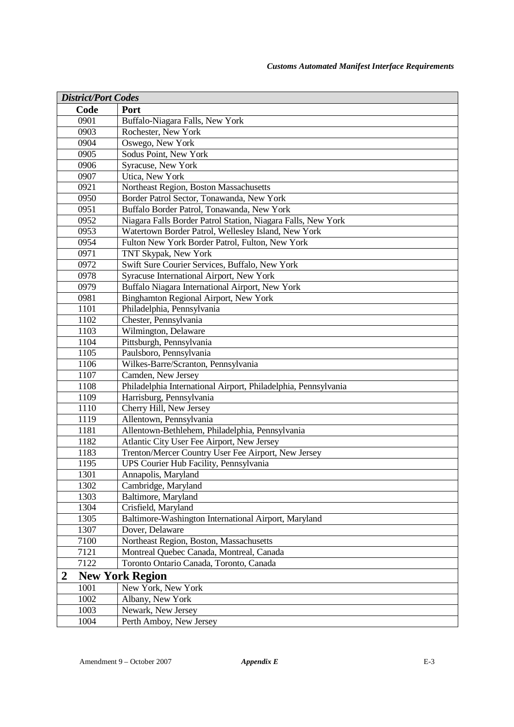| <b>District/Port Codes</b> |      |                                                                |
|----------------------------|------|----------------------------------------------------------------|
|                            | Code | Port                                                           |
|                            | 0901 | Buffalo-Niagara Falls, New York                                |
|                            | 0903 | Rochester, New York                                            |
|                            | 0904 | Oswego, New York                                               |
|                            | 0905 | Sodus Point, New York                                          |
|                            | 0906 | Syracuse, New York                                             |
|                            | 0907 | Utica, New York                                                |
|                            | 0921 | Northeast Region, Boston Massachusetts                         |
|                            | 0950 | Border Patrol Sector, Tonawanda, New York                      |
|                            | 0951 | Buffalo Border Patrol, Tonawanda, New York                     |
|                            | 0952 | Niagara Falls Border Patrol Station, Niagara Falls, New York   |
|                            | 0953 | Watertown Border Patrol, Wellesley Island, New York            |
|                            | 0954 | Fulton New York Border Patrol, Fulton, New York                |
|                            | 0971 | TNT Skypak, New York                                           |
|                            | 0972 | Swift Sure Courier Services, Buffalo, New York                 |
|                            | 0978 | Syracuse International Airport, New York                       |
|                            | 0979 | Buffalo Niagara International Airport, New York                |
|                            | 0981 | Binghamton Regional Airport, New York                          |
|                            | 1101 | Philadelphia, Pennsylvania                                     |
|                            | 1102 | Chester, Pennsylvania                                          |
|                            | 1103 | Wilmington, Delaware                                           |
|                            | 1104 | Pittsburgh, Pennsylvania                                       |
|                            | 1105 | Paulsboro, Pennsylvania                                        |
|                            | 1106 | Wilkes-Barre/Scranton, Pennsylvania                            |
|                            | 1107 | Camden, New Jersey                                             |
|                            | 1108 | Philadelphia International Airport, Philadelphia, Pennsylvania |
|                            | 1109 | Harrisburg, Pennsylvania                                       |
|                            | 1110 | Cherry Hill, New Jersey                                        |
|                            | 1119 | Allentown, Pennsylvania                                        |
|                            | 1181 | Allentown-Bethlehem, Philadelphia, Pennsylvania                |
|                            | 1182 | Atlantic City User Fee Airport, New Jersey                     |
|                            | 1183 | Trenton/Mercer Country User Fee Airport, New Jersey            |
|                            | 1195 | UPS Courier Hub Facility, Pennsylvania                         |
|                            | 1301 | Annapolis, Maryland                                            |
|                            | 1302 | Cambridge, Maryland                                            |
|                            | 1303 | Baltimore, Maryland                                            |
|                            | 1304 | Crisfield, Maryland                                            |
|                            | 1305 | Baltimore-Washington International Airport, Maryland           |
|                            | 1307 | Dover, Delaware                                                |
|                            | 7100 | Northeast Region, Boston, Massachusetts                        |
|                            | 7121 | Montreal Quebec Canada, Montreal, Canada                       |
|                            | 7122 | Toronto Ontario Canada, Toronto, Canada                        |
| 2                          |      | <b>New York Region</b>                                         |
|                            | 1001 | New York, New York                                             |
|                            | 1002 | Albany, New York                                               |
|                            | 1003 | Newark, New Jersey                                             |
|                            | 1004 | Perth Amboy, New Jersey                                        |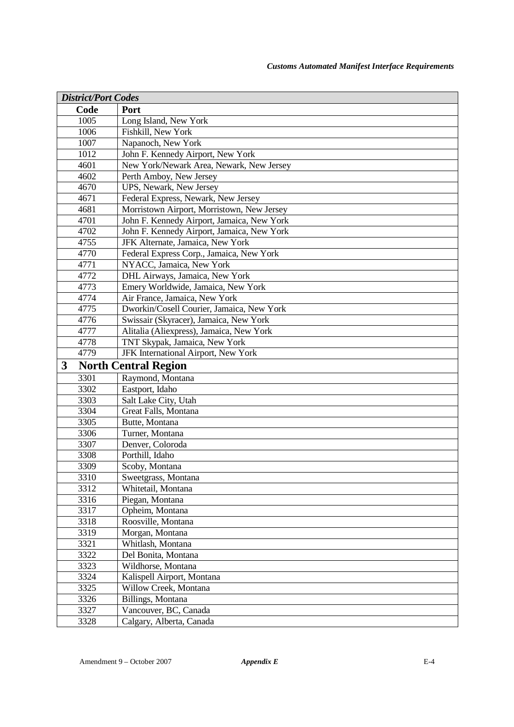| <b>District/Port Codes</b> |                                            |
|----------------------------|--------------------------------------------|
| Code                       | Port                                       |
| 1005                       | Long Island, New York                      |
| 1006                       | Fishkill, New York                         |
| 1007                       | Napanoch, New York                         |
| 1012                       | John F. Kennedy Airport, New York          |
| 4601                       | New York/Newark Area, Newark, New Jersey   |
| 4602                       | Perth Amboy, New Jersey                    |
| 4670                       | UPS, Newark, New Jersey                    |
| 4671                       | Federal Express, Newark, New Jersey        |
| 4681                       | Morristown Airport, Morristown, New Jersey |
| 4701                       | John F. Kennedy Airport, Jamaica, New York |
| 4702                       | John F. Kennedy Airport, Jamaica, New York |
| 4755                       | JFK Alternate, Jamaica, New York           |
| 4770                       | Federal Express Corp., Jamaica, New York   |
| 4771                       | NYACC, Jamaica, New York                   |
| 4772                       | DHL Airways, Jamaica, New York             |
| 4773                       | Emery Worldwide, Jamaica, New York         |
| 4774                       | Air France, Jamaica, New York              |
| 4775                       | Dworkin/Cosell Courier, Jamaica, New York  |
| 4776                       | Swissair (Skyracer), Jamaica, New York     |
| 4777                       | Alitalia (Aliexpress), Jamaica, New York   |
| 4778                       | TNT Skypak, Jamaica, New York              |
| 4779                       | JFK International Airport, New York        |
| 3                          | <b>North Central Region</b>                |
| 3301                       | Raymond, Montana                           |
| 3302                       | Eastport, Idaho                            |
| 3303                       | Salt Lake City, Utah                       |
| 3304                       | Great Falls, Montana                       |
| 3305                       | Butte, Montana                             |
| 3306                       | Turner, Montana                            |
| 3307                       | Denver, Coloroda                           |
| 3308                       | Porthill, Idaho                            |
| 3309                       | Scoby, Montana                             |
| 3310                       | Sweetgrass, Montana                        |
| 3312                       | Whitetail, Montana                         |
| 3316                       | Piegan, Montana                            |
| 3317                       | Opheim, Montana                            |
| 3318                       | Roosville, Montana                         |
| 3319                       | Morgan, Montana                            |
| 3321                       | Whitlash, Montana                          |
| 3322                       | Del Bonita, Montana                        |
| 3323                       | Wildhorse, Montana                         |
| 3324                       | Kalispell Airport, Montana                 |
| 3325                       | Willow Creek, Montana                      |
| 3326                       | Billings, Montana                          |
| 3327                       | Vancouver, BC, Canada                      |
| 3328                       | Calgary, Alberta, Canada                   |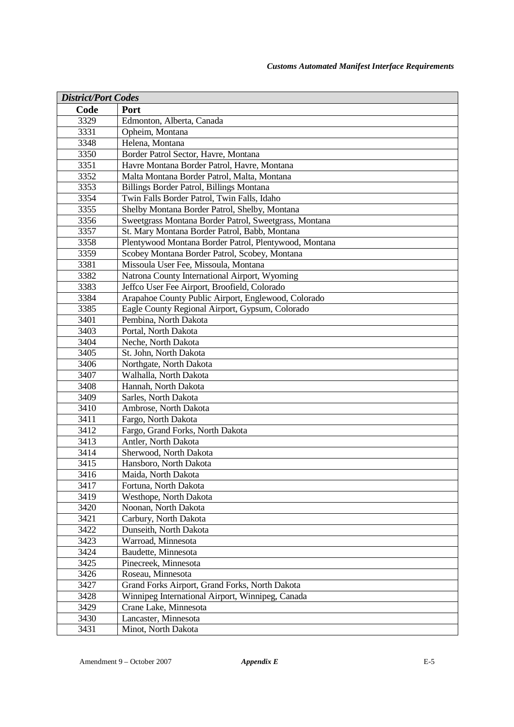| <b>District/Port Codes</b> |                                                       |  |
|----------------------------|-------------------------------------------------------|--|
| Code                       | Port                                                  |  |
| 3329                       | Edmonton, Alberta, Canada                             |  |
| 3331                       | Opheim, Montana                                       |  |
| 3348                       | Helena, Montana                                       |  |
| 3350                       | Border Patrol Sector, Havre, Montana                  |  |
| 3351                       | Havre Montana Border Patrol, Havre, Montana           |  |
| 3352                       | Malta Montana Border Patrol, Malta, Montana           |  |
| 3353                       | Billings Border Patrol, Billings Montana              |  |
| 3354                       | Twin Falls Border Patrol, Twin Falls, Idaho           |  |
| 3355                       | Shelby Montana Border Patrol, Shelby, Montana         |  |
| 3356                       | Sweetgrass Montana Border Patrol, Sweetgrass, Montana |  |
| 3357                       | St. Mary Montana Border Patrol, Babb, Montana         |  |
| 3358                       | Plentywood Montana Border Patrol, Plentywood, Montana |  |
| 3359                       | Scobey Montana Border Patrol, Scobey, Montana         |  |
| 3381                       | Missoula User Fee, Missoula, Montana                  |  |
| 3382                       | Natrona County International Airport, Wyoming         |  |
| 3383                       | Jeffco User Fee Airport, Broofield, Colorado          |  |
| 3384                       | Arapahoe County Public Airport, Englewood, Colorado   |  |
| 3385                       | Eagle County Regional Airport, Gypsum, Colorado       |  |
| 3401                       | Pembina, North Dakota                                 |  |
| 3403                       | Portal, North Dakota                                  |  |
| 3404                       | Neche, North Dakota                                   |  |
| 3405                       | St. John, North Dakota                                |  |
| 3406                       | Northgate, North Dakota                               |  |
| 3407                       | Walhalla, North Dakota                                |  |
| 3408                       | Hannah, North Dakota                                  |  |
| 3409                       | Sarles, North Dakota                                  |  |
| 3410                       | Ambrose, North Dakota                                 |  |
| 3411                       | Fargo, North Dakota                                   |  |
| 3412                       | Fargo, Grand Forks, North Dakota                      |  |
| 3413                       | Antler, North Dakota                                  |  |
| 3414                       | Sherwood, North Dakota                                |  |
| 3415                       | Hansboro, North Dakota                                |  |
| 3416                       | Maida, North Dakota                                   |  |
| 3417                       | Fortuna, North Dakota                                 |  |
| 3419                       | Westhope, North Dakota                                |  |
| 3420                       | Noonan, North Dakota                                  |  |
| 3421                       | Carbury, North Dakota                                 |  |
| 3422                       | Dunseith, North Dakota                                |  |
| 3423                       | Warroad, Minnesota                                    |  |
| 3424                       | Baudette, Minnesota                                   |  |
| 3425                       | Pinecreek, Minnesota                                  |  |
| 3426                       | Roseau, Minnesota                                     |  |
| 3427                       | Grand Forks Airport, Grand Forks, North Dakota        |  |
| 3428                       | Winnipeg International Airport, Winnipeg, Canada      |  |
| 3429                       | Crane Lake, Minnesota                                 |  |
| 3430                       | Lancaster, Minnesota                                  |  |
| 3431                       | Minot, North Dakota                                   |  |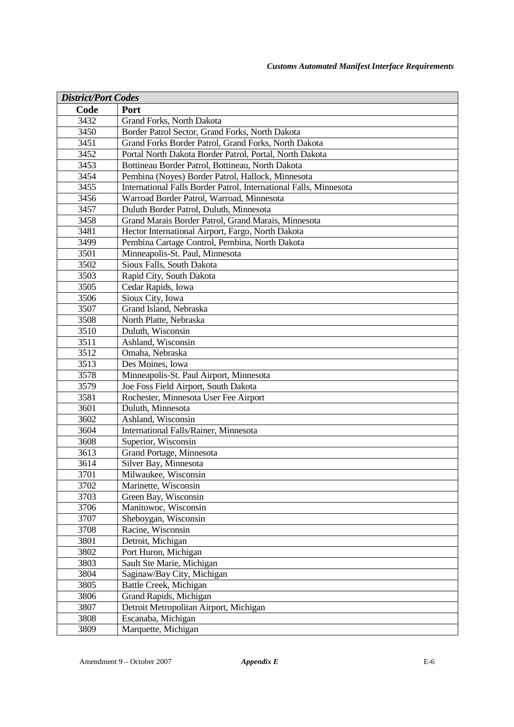| <b>District/Port Codes</b> |                                                                   |  |
|----------------------------|-------------------------------------------------------------------|--|
| Code                       | Port                                                              |  |
| 3432                       | Grand Forks, North Dakota                                         |  |
| 3450                       | Border Patrol Sector, Grand Forks, North Dakota                   |  |
| 3451                       | Grand Forks Border Patrol, Grand Forks, North Dakota              |  |
| 3452                       | Portal North Dakota Border Patrol, Portal, North Dakota           |  |
| 3453                       | Bottineau Border Patrol, Bottineau, North Dakota                  |  |
| 3454                       | Pembina (Noyes) Border Patrol, Hallock, Minnesota                 |  |
| 3455                       | International Falls Border Patrol, International Falls, Minnesota |  |
| 3456                       | Warroad Border Patrol, Warroad, Minnesota                         |  |
| 3457                       | Duluth Border Patrol, Duluth, Minnesota                           |  |
| 3458                       | Grand Marais Border Patrol, Grand Marais, Minnesota               |  |
| 3481                       | Hector International Airport, Fargo, North Dakota                 |  |
| 3499                       | Pembina Cartage Control, Pembina, North Dakota                    |  |
| 3501                       | Minneapolis-St. Paul, Minnesota                                   |  |
| 3502                       | Sioux Falls, South Dakota                                         |  |
| 3503                       | Rapid City, South Dakota                                          |  |
| 3505                       | Cedar Rapids, Iowa                                                |  |
| 3506                       | Sioux City, Iowa                                                  |  |
| 3507                       | Grand Island, Nebraska                                            |  |
| 3508                       | North Platte, Nebraska                                            |  |
| 3510                       | Duluth, Wisconsin                                                 |  |
| 3511                       | Ashland, Wisconsin                                                |  |
| 3512                       | Omaha, Nebraska                                                   |  |
| 3513                       | Des Moines, Iowa                                                  |  |
| 3578                       | Minneapolis-St. Paul Airport, Minnesota                           |  |
| 3579                       | Joe Foss Field Airport, South Dakota                              |  |
| 3581                       | Rochester, Minnesota User Fee Airport                             |  |
| 3601                       | Duluth, Minnesota                                                 |  |
| 3602                       | Ashland, Wisconsin                                                |  |
| 3604                       | International Falls/Rainer, Minnesota                             |  |
| 3608                       | Superior, Wisconsin                                               |  |
| 3613                       | Grand Portage, Minnesota                                          |  |
| 3614                       | Silver Bay, Minnesota                                             |  |
| 3701                       | Milwaukee, Wisconsin                                              |  |
| 3702                       | Marinette, Wisconsin                                              |  |
| 3703                       | Green Bay, Wisconsin                                              |  |
| 3706                       | Manitowoc, Wisconsin                                              |  |
| 3707                       | Sheboygan, Wisconsin                                              |  |
| 3708                       | Racine, Wisconsin                                                 |  |
| 3801                       | Detroit, Michigan                                                 |  |
| 3802                       | Port Huron, Michigan                                              |  |
| 3803                       | Sault Ste Marie, Michigan                                         |  |
| 3804                       | Saginaw/Bay City, Michigan                                        |  |
| 3805                       | Battle Creek, Michigan                                            |  |
| 3806                       | Grand Rapids, Michigan                                            |  |
| 3807                       | Detroit Metropolitan Airport, Michigan                            |  |
| 3808                       | Escanaba, Michigan                                                |  |
| 3809                       | Marquette, Michigan                                               |  |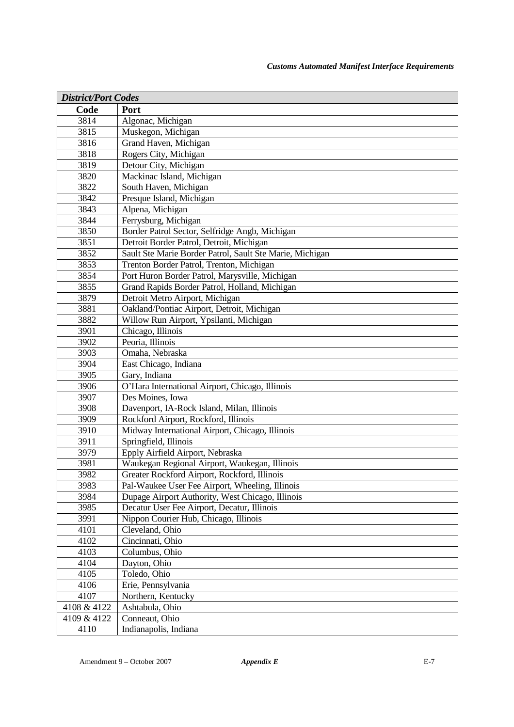| <b>District/Port Codes</b> |                                                          |  |
|----------------------------|----------------------------------------------------------|--|
| Code                       | Port                                                     |  |
| 3814                       | Algonac, Michigan                                        |  |
| 3815                       | Muskegon, Michigan                                       |  |
| 3816                       | Grand Haven, Michigan                                    |  |
| 3818                       | Rogers City, Michigan                                    |  |
| 3819                       | Detour City, Michigan                                    |  |
| 3820                       | Mackinac Island, Michigan                                |  |
| 3822                       | South Haven, Michigan                                    |  |
| 3842                       | Presque Island, Michigan                                 |  |
| 3843                       | Alpena, Michigan                                         |  |
| 3844                       | Ferrysburg, Michigan                                     |  |
| 3850                       | Border Patrol Sector, Selfridge Angb, Michigan           |  |
| 3851                       | Detroit Border Patrol, Detroit, Michigan                 |  |
| 3852                       | Sault Ste Marie Border Patrol, Sault Ste Marie, Michigan |  |
| 3853                       | Trenton Border Patrol, Trenton, Michigan                 |  |
| 3854                       | Port Huron Border Patrol, Marysville, Michigan           |  |
| 3855                       | Grand Rapids Border Patrol, Holland, Michigan            |  |
| 3879                       | Detroit Metro Airport, Michigan                          |  |
| 3881                       | Oakland/Pontiac Airport, Detroit, Michigan               |  |
| 3882                       | Willow Run Airport, Ypsilanti, Michigan                  |  |
| 3901                       | Chicago, Illinois                                        |  |
| 3902                       | Peoria, Illinois                                         |  |
| 3903                       | Omaha, Nebraska                                          |  |
| 3904                       | East Chicago, Indiana                                    |  |
| 3905                       | Gary, Indiana                                            |  |
| 3906                       | O'Hara International Airport, Chicago, Illinois          |  |
| 3907                       | Des Moines, Iowa                                         |  |
| 3908                       | Davenport, IA-Rock Island, Milan, Illinois               |  |
| 3909                       | Rockford Airport, Rockford, Illinois                     |  |
| 3910                       | Midway International Airport, Chicago, Illinois          |  |
| 3911                       | Springfield, Illinois                                    |  |
| 3979                       | Epply Airfield Airport, Nebraska                         |  |
| 3981                       | Waukegan Regional Airport, Waukegan, Illinois            |  |
| 3982                       | Greater Rockford Airport, Rockford, Illinois             |  |
| 3983                       | Pal-Waukee User Fee Airport, Wheeling, Illinois          |  |
| 3984                       | Dupage Airport Authority, West Chicago, Illinois         |  |
| 3985                       | Decatur User Fee Airport, Decatur, Illinois              |  |
| 3991                       | Nippon Courier Hub, Chicago, Illinois                    |  |
| 4101                       | Cleveland, Ohio                                          |  |
| 4102                       | Cincinnati, Ohio                                         |  |
| 4103                       | Columbus, Ohio                                           |  |
| 4104                       | Dayton, Ohio                                             |  |
| 4105                       | Toledo, Ohio                                             |  |
| 4106                       | Erie, Pennsylvania                                       |  |
| 4107                       | Northern, Kentucky                                       |  |
| 4108 & 4122                | Ashtabula, Ohio                                          |  |
| 4109 & 4122                | Conneaut, Ohio                                           |  |
| 4110                       | Indianapolis, Indiana                                    |  |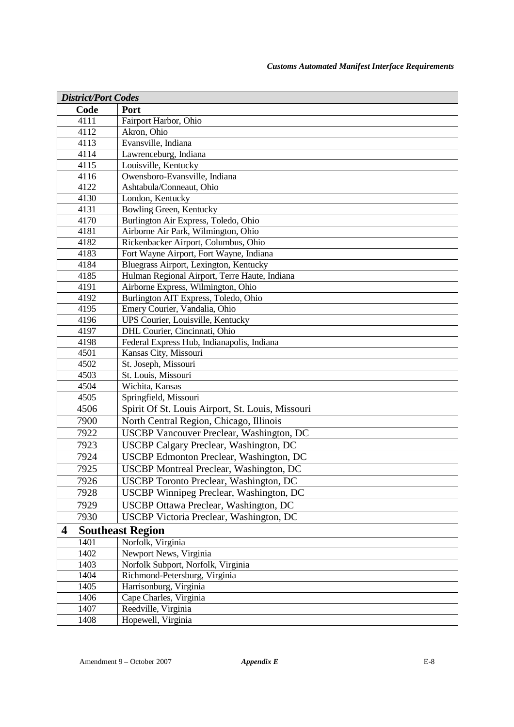| <b>District/Port Codes</b> |      |                                                  |
|----------------------------|------|--------------------------------------------------|
|                            | Code | Port                                             |
|                            | 4111 | Fairport Harbor, Ohio                            |
|                            | 4112 | Akron, Ohio                                      |
|                            | 4113 | Evansville, Indiana                              |
|                            | 4114 | Lawrenceburg, Indiana                            |
|                            | 4115 | Louisville, Kentucky                             |
|                            | 4116 | Owensboro-Evansville, Indiana                    |
|                            | 4122 | Ashtabula/Conneaut, Ohio                         |
|                            | 4130 | London, Kentucky                                 |
|                            | 4131 | Bowling Green, Kentucky                          |
|                            | 4170 | Burlington Air Express, Toledo, Ohio             |
|                            | 4181 | Airborne Air Park, Wilmington, Ohio              |
|                            | 4182 | Rickenbacker Airport, Columbus, Ohio             |
|                            | 4183 | Fort Wayne Airport, Fort Wayne, Indiana          |
|                            | 4184 | Bluegrass Airport, Lexington, Kentucky           |
|                            | 4185 | Hulman Regional Airport, Terre Haute, Indiana    |
|                            | 4191 | Airborne Express, Wilmington, Ohio               |
|                            | 4192 | Burlington AIT Express, Toledo, Ohio             |
|                            | 4195 | Emery Courier, Vandalia, Ohio                    |
|                            | 4196 | UPS Courier, Louisville, Kentucky                |
|                            | 4197 | DHL Courier, Cincinnati, Ohio                    |
|                            | 4198 | Federal Express Hub, Indianapolis, Indiana       |
|                            | 4501 | Kansas City, Missouri                            |
|                            | 4502 | St. Joseph, Missouri                             |
|                            | 4503 | St. Louis, Missouri                              |
|                            | 4504 | Wichita, Kansas                                  |
|                            | 4505 | Springfield, Missouri                            |
|                            | 4506 | Spirit Of St. Louis Airport, St. Louis, Missouri |
|                            | 7900 | North Central Region, Chicago, Illinois          |
|                            | 7922 | <b>USCBP Vancouver Preclear, Washington, DC</b>  |
|                            | 7923 | USCBP Calgary Preclear, Washington, DC           |
|                            | 7924 | USCBP Edmonton Preclear, Washington, DC          |
|                            | 7925 | <b>USCBP</b> Montreal Preclear, Washington, DC   |
|                            | 7926 | <b>USCBP</b> Toronto Preclear, Washington, DC    |
|                            | 7928 | USCBP Winnipeg Preclear, Washington, DC          |
|                            | 7929 | USCBP Ottawa Preclear, Washington, DC            |
|                            | 7930 | USCBP Victoria Preclear, Washington, DC          |
| 4                          |      | <b>Southeast Region</b>                          |
|                            | 1401 | Norfolk, Virginia                                |
|                            | 1402 | Newport News, Virginia                           |
|                            | 1403 | Norfolk Subport, Norfolk, Virginia               |
|                            | 1404 | Richmond-Petersburg, Virginia                    |
|                            | 1405 | Harrisonburg, Virginia                           |
|                            | 1406 | Cape Charles, Virginia                           |
|                            | 1407 | Reedville, Virginia                              |
|                            | 1408 | Hopewell, Virginia                               |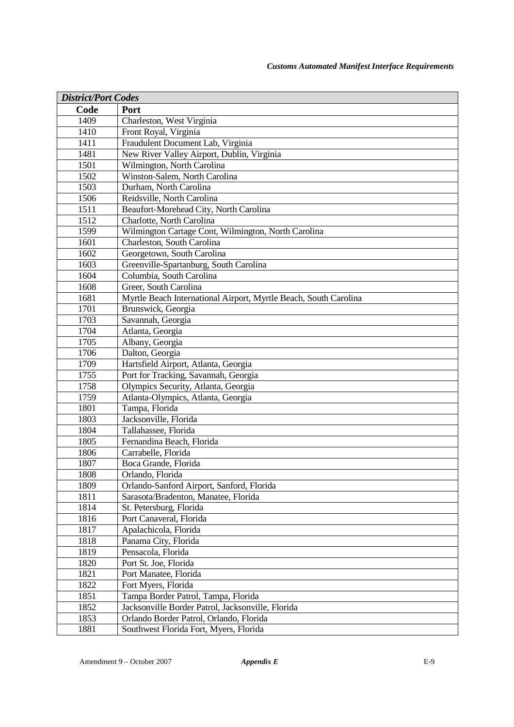| <b>District/Port Codes</b> |                                                                  |  |
|----------------------------|------------------------------------------------------------------|--|
| Code                       | Port                                                             |  |
| 1409                       | Charleston, West Virginia                                        |  |
| 1410                       | Front Royal, Virginia                                            |  |
| 1411                       | Fraudulent Document Lab, Virginia                                |  |
| 1481                       | New River Valley Airport, Dublin, Virginia                       |  |
| 1501                       | Wilmington, North Carolina                                       |  |
| 1502                       | Winston-Salem, North Carolina                                    |  |
| 1503                       | Durham, North Carolina                                           |  |
| 1506                       | Reidsville, North Carolina                                       |  |
| 1511                       | Beaufort-Morehead City, North Carolina                           |  |
| 1512                       | Charlotte, North Carolina                                        |  |
| 1599                       | Wilmington Cartage Cont, Wilmington, North Carolina              |  |
| 1601                       | Charleston, South Carolina                                       |  |
| 1602                       | Georgetown, South Carolina                                       |  |
| 1603                       | Greenville-Spartanburg, South Carolina                           |  |
| 1604                       | Columbia, South Carolina                                         |  |
| 1608                       | Greer, South Carolina                                            |  |
| 1681                       | Myrtle Beach International Airport, Myrtle Beach, South Carolina |  |
| 1701                       | Brunswick, Georgia                                               |  |
| 1703                       | Savannah, Georgia                                                |  |
| 1704                       | Atlanta, Georgia                                                 |  |
| 1705                       | Albany, Georgia                                                  |  |
| 1706                       | Dalton, Georgia                                                  |  |
| 1709                       | Hartsfield Airport, Atlanta, Georgia                             |  |
| 1755                       | Port for Tracking, Savannah, Georgia                             |  |
| 1758                       | Olympics Security, Atlanta, Georgia                              |  |
| 1759                       | Atlanta-Olympics, Atlanta, Georgia                               |  |
| 1801                       | Tampa, Florida                                                   |  |
| 1803                       | Jacksonville, Florida                                            |  |
| 1804                       | Tallahassee, Florida                                             |  |
| 1805                       | Fernandina Beach, Florida                                        |  |
| 1806                       | Carrabelle, Florida                                              |  |
| 1807                       | Boca Grande, Florida                                             |  |
| 1808                       | Orlando, Florida                                                 |  |
| 1809                       | Orlando-Sanford Airport, Sanford, Florida                        |  |
| 1811                       | Sarasota/Bradenton, Manatee, Florida                             |  |
| 1814                       | St. Petersburg, Florida                                          |  |
| 1816                       | Port Canaveral, Florida                                          |  |
| 1817                       | Apalachicola, Florida                                            |  |
| 1818                       | Panama City, Florida                                             |  |
| 1819                       | Pensacola, Florida                                               |  |
| 1820                       | Port St. Joe, Florida                                            |  |
| 1821                       | Port Manatee, Florida                                            |  |
| 1822                       | Fort Myers, Florida                                              |  |
| 1851                       | Tampa Border Patrol, Tampa, Florida                              |  |
| 1852                       | Jacksonville Border Patrol, Jacksonville, Florida                |  |
| 1853                       | Orlando Border Patrol, Orlando, Florida                          |  |
| 1881                       | Southwest Florida Fort, Myers, Florida                           |  |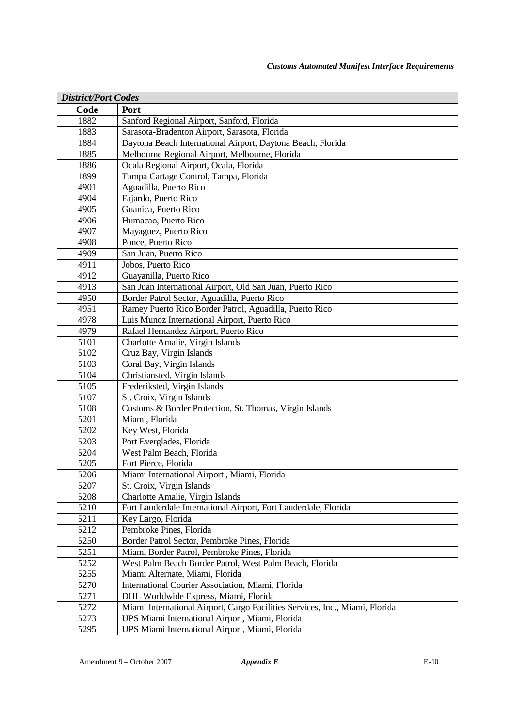| <b>District/Port Codes</b> |                                                                              |  |
|----------------------------|------------------------------------------------------------------------------|--|
| Code                       | Port                                                                         |  |
| 1882                       | Sanford Regional Airport, Sanford, Florida                                   |  |
| 1883                       | Sarasota-Bradenton Airport, Sarasota, Florida                                |  |
| 1884                       | Daytona Beach International Airport, Daytona Beach, Florida                  |  |
| 1885                       | Melbourne Regional Airport, Melbourne, Florida                               |  |
| 1886                       | Ocala Regional Airport, Ocala, Florida                                       |  |
| 1899                       | Tampa Cartage Control, Tampa, Florida                                        |  |
| 4901                       | Aguadilla, Puerto Rico                                                       |  |
| 4904                       | Fajardo, Puerto Rico                                                         |  |
| 4905                       | Guanica, Puerto Rico                                                         |  |
| 4906                       | Humacao, Puerto Rico                                                         |  |
| 4907                       | Mayaguez, Puerto Rico                                                        |  |
| 4908                       | Ponce, Puerto Rico                                                           |  |
| 4909                       | San Juan, Puerto Rico                                                        |  |
| 4911                       | Jobos, Puerto Rico                                                           |  |
| 4912                       | Guayanilla, Puerto Rico                                                      |  |
| 4913                       | San Juan International Airport, Old San Juan, Puerto Rico                    |  |
| 4950                       | Border Patrol Sector, Aguadilla, Puerto Rico                                 |  |
| 4951                       | Ramey Puerto Rico Border Patrol, Aguadilla, Puerto Rico                      |  |
| 4978                       | Luis Munoz International Airport, Puerto Rico                                |  |
| 4979                       | Rafael Hernandez Airport, Puerto Rico                                        |  |
| 5101                       | Charlotte Amalie, Virgin Islands                                             |  |
| 5102                       | Cruz Bay, Virgin Islands                                                     |  |
| $\overline{5103}$          | Coral Bay, Virgin Islands                                                    |  |
| 5104                       | Christiansted, Virgin Islands                                                |  |
| 5105                       | Frederiksted, Virgin Islands                                                 |  |
| 5107                       | St. Croix, Virgin Islands                                                    |  |
| 5108                       | Customs & Border Protection, St. Thomas, Virgin Islands                      |  |
| 5201                       | Miami, Florida                                                               |  |
| 5202                       | Key West, Florida                                                            |  |
| 5203                       | Port Everglades, Florida                                                     |  |
| 5204                       | West Palm Beach, Florida                                                     |  |
| 5205                       | Fort Pierce, Florida                                                         |  |
| 5206                       | Miami International Airport, Miami, Florida                                  |  |
| 5207                       | St. Croix, Virgin Islands                                                    |  |
| 5208                       | Charlotte Amalie, Virgin Islands                                             |  |
| 5210                       | Fort Lauderdale International Airport, Fort Lauderdale, Florida              |  |
| 5211                       | Key Largo, Florida                                                           |  |
| 5212                       | Pembroke Pines, Florida                                                      |  |
| 5250                       | Border Patrol Sector, Pembroke Pines, Florida                                |  |
| 5251                       | Miami Border Patrol, Pembroke Pines, Florida                                 |  |
| 5252                       | West Palm Beach Border Patrol, West Palm Beach, Florida                      |  |
| 5255                       | Miami Alternate, Miami, Florida                                              |  |
| 5270                       | International Courier Association, Miami, Florida                            |  |
| 5271                       | DHL Worldwide Express, Miami, Florida                                        |  |
| 5272                       | Miami International Airport, Cargo Facilities Services, Inc., Miami, Florida |  |
| 5273                       | UPS Miami International Airport, Miami, Florida                              |  |
| 5295                       | UPS Miami International Airport, Miami, Florida                              |  |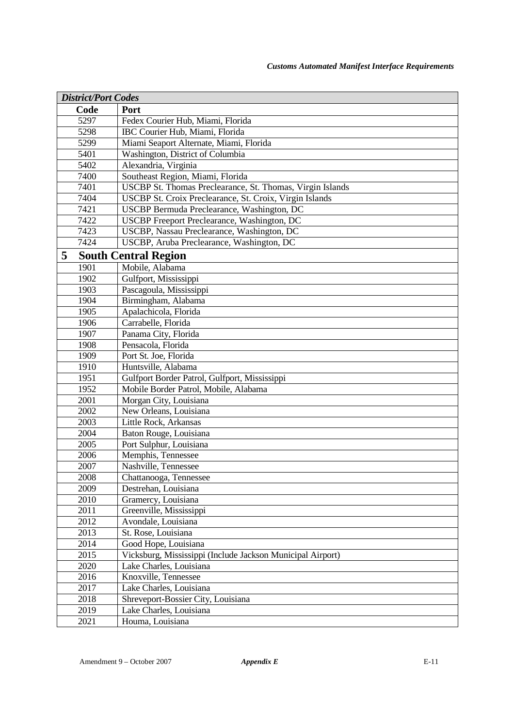| <b>District/Port Codes</b> |                                                            |  |
|----------------------------|------------------------------------------------------------|--|
| Code                       | Port                                                       |  |
| 5297                       | Fedex Courier Hub, Miami, Florida                          |  |
| 5298                       | IBC Courier Hub, Miami, Florida                            |  |
| 5299                       | Miami Seaport Alternate, Miami, Florida                    |  |
| 5401                       | Washington, District of Columbia                           |  |
| 5402                       | Alexandria, Virginia                                       |  |
| 7400                       | Southeast Region, Miami, Florida                           |  |
| 7401                       | USCBP St. Thomas Preclearance, St. Thomas, Virgin Islands  |  |
| 7404                       | USCBP St. Croix Preclearance, St. Croix, Virgin Islands    |  |
| 7421                       | USCBP Bermuda Preclearance, Washington, DC                 |  |
| 7422                       | USCBP Freeport Preclearance, Washington, DC                |  |
| 7423                       | USCBP, Nassau Preclearance, Washington, DC                 |  |
| 7424                       | USCBP, Aruba Preclearance, Washington, DC                  |  |
| 5                          | <b>South Central Region</b>                                |  |
| 1901                       | Mobile, Alabama                                            |  |
| 1902                       | Gulfport, Mississippi                                      |  |
| 1903                       | Pascagoula, Mississippi                                    |  |
| 1904                       | Birmingham, Alabama                                        |  |
| 1905                       | Apalachicola, Florida                                      |  |
| 1906                       | Carrabelle, Florida                                        |  |
| 1907                       | Panama City, Florida                                       |  |
| 1908                       | Pensacola, Florida                                         |  |
| 1909                       | Port St. Joe, Florida                                      |  |
| 1910                       | Huntsville, Alabama                                        |  |
| 1951                       | Gulfport Border Patrol, Gulfport, Mississippi              |  |
| 1952                       | Mobile Border Patrol, Mobile, Alabama                      |  |
| 2001                       | Morgan City, Louisiana                                     |  |
| 2002                       | New Orleans, Louisiana                                     |  |
| 2003                       | Little Rock, Arkansas                                      |  |
| 2004                       | Baton Rouge, Louisiana                                     |  |
| 2005                       | Port Sulphur, Louisiana                                    |  |
| 2006                       | Memphis, Tennessee                                         |  |
| 2007                       | Nashville, Tennessee                                       |  |
| 2008                       | Chattanooga, Tennessee                                     |  |
| 2009                       | Destrehan, Louisiana                                       |  |
| 2010                       | Gramercy, Louisiana                                        |  |
| 2011                       | Greenville, Mississippi                                    |  |
| 2012                       | Avondale, Louisiana                                        |  |
| 2013                       | St. Rose, Louisiana                                        |  |
| 2014                       | Good Hope, Louisiana                                       |  |
| 2015                       | Vicksburg, Mississippi (Include Jackson Municipal Airport) |  |
| 2020                       | Lake Charles, Louisiana                                    |  |
| 2016                       | Knoxville, Tennessee                                       |  |
| 2017                       | Lake Charles, Louisiana                                    |  |
| 2018                       | Shreveport-Bossier City, Louisiana                         |  |
| 2019                       | Lake Charles, Louisiana                                    |  |
| 2021                       | Houma, Louisiana                                           |  |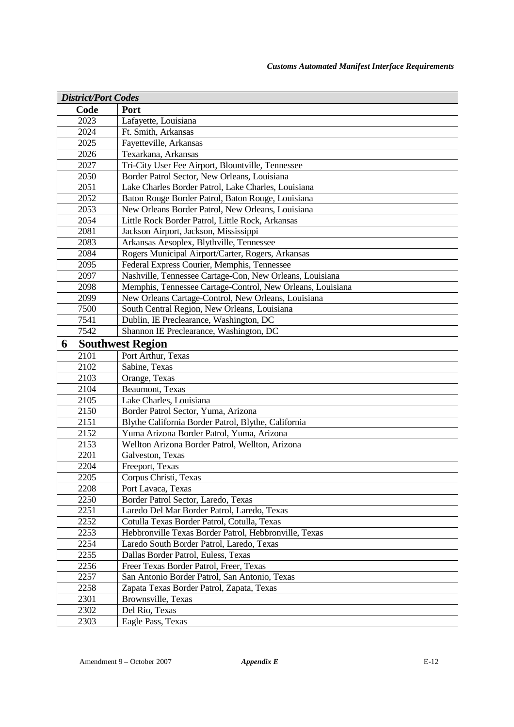| <b>District/Port Codes</b> |                                                            |  |
|----------------------------|------------------------------------------------------------|--|
| Code                       | Port                                                       |  |
| 2023                       | Lafayette, Louisiana                                       |  |
| 2024                       | Ft. Smith, Arkansas                                        |  |
| 2025                       | Fayetteville, Arkansas                                     |  |
| 2026                       | Texarkana, Arkansas                                        |  |
| 2027                       | Tri-City User Fee Airport, Blountville, Tennessee          |  |
| 2050                       | Border Patrol Sector, New Orleans, Louisiana               |  |
| 2051                       | Lake Charles Border Patrol, Lake Charles, Louisiana        |  |
| 2052                       | Baton Rouge Border Patrol, Baton Rouge, Louisiana          |  |
| 2053                       | New Orleans Border Patrol, New Orleans, Louisiana          |  |
| 2054                       | Little Rock Border Patrol, Little Rock, Arkansas           |  |
| 2081                       | Jackson Airport, Jackson, Mississippi                      |  |
| 2083                       | Arkansas Aesoplex, Blythville, Tennessee                   |  |
| 2084                       | Rogers Municipal Airport/Carter, Rogers, Arkansas          |  |
| 2095                       | Federal Express Courier, Memphis, Tennessee                |  |
| 2097                       | Nashville, Tennessee Cartage-Con, New Orleans, Louisiana   |  |
| 2098                       | Memphis, Tennessee Cartage-Control, New Orleans, Louisiana |  |
| 2099                       | New Orleans Cartage-Control, New Orleans, Louisiana        |  |
| 7500                       | South Central Region, New Orleans, Louisiana               |  |
| 7541                       | Dublin, IE Preclearance, Washington, DC                    |  |
| 7542                       | Shannon IE Preclearance, Washington, DC                    |  |
| 6                          | <b>Southwest Region</b>                                    |  |
| 2101                       | Port Arthur, Texas                                         |  |
| 2102                       | Sabine, Texas                                              |  |
| 2103                       | Orange, Texas                                              |  |
| 2104                       | Beaumont, Texas                                            |  |
| 2105                       | Lake Charles, Louisiana                                    |  |
| 2150                       | Border Patrol Sector, Yuma, Arizona                        |  |
| 2151                       | Blythe California Border Patrol, Blythe, California        |  |
| 2152                       | Yuma Arizona Border Patrol, Yuma, Arizona                  |  |
| 2153                       | Wellton Arizona Border Patrol, Wellton, Arizona            |  |
| 2201                       | Galveston, Texas                                           |  |
| 2204                       | Freeport, Texas                                            |  |
| 2205                       | Corpus Christi, Texas                                      |  |
| 2208                       | Port Lavaca, Texas                                         |  |
| 2250                       | Border Patrol Sector, Laredo, Texas                        |  |
| 2251                       | Laredo Del Mar Border Patrol, Laredo, Texas                |  |
| 2252                       | Cotulla Texas Border Patrol, Cotulla, Texas                |  |
| 2253                       | Hebbronville Texas Border Patrol, Hebbronville, Texas      |  |
| 2254                       | Laredo South Border Patrol, Laredo, Texas                  |  |
| 2255                       | Dallas Border Patrol, Euless, Texas                        |  |
| 2256                       | Freer Texas Border Patrol, Freer, Texas                    |  |
| 2257                       | San Antonio Border Patrol, San Antonio, Texas              |  |
| 2258                       | Zapata Texas Border Patrol, Zapata, Texas                  |  |
| 2301                       | Brownsville, Texas                                         |  |
| 2302                       | Del Rio, Texas                                             |  |
| 2303                       | Eagle Pass, Texas                                          |  |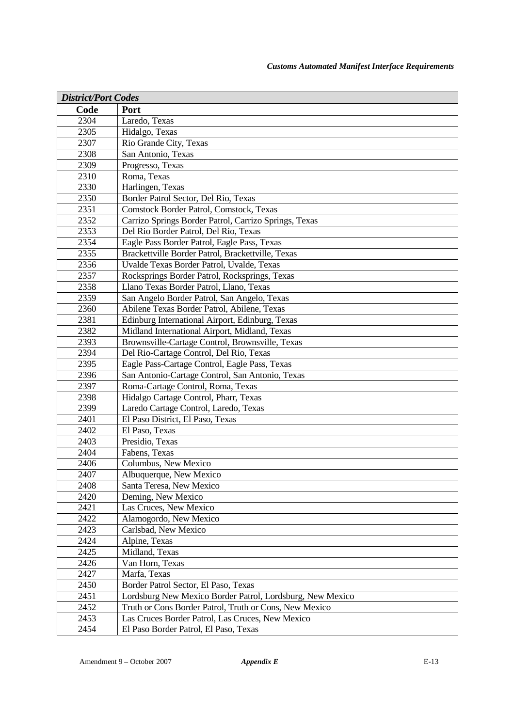| <b>District/Port Codes</b> |                                                           |
|----------------------------|-----------------------------------------------------------|
| Code                       | Port                                                      |
| 2304                       | Laredo, Texas                                             |
| 2305                       | Hidalgo, Texas                                            |
| 2307                       | Rio Grande City, Texas                                    |
| 2308                       | San Antonio, Texas                                        |
| 2309                       | Progresso, Texas                                          |
| 2310                       | Roma, Texas                                               |
| 2330                       | Harlingen, Texas                                          |
| 2350                       | Border Patrol Sector, Del Rio, Texas                      |
| 2351                       | Comstock Border Patrol, Comstock, Texas                   |
| 2352                       | Carrizo Springs Border Patrol, Carrizo Springs, Texas     |
| 2353                       | Del Rio Border Patrol, Del Rio, Texas                     |
| 2354                       | Eagle Pass Border Patrol, Eagle Pass, Texas               |
| 2355                       | Brackettville Border Patrol, Brackettville, Texas         |
| 2356                       | Uvalde Texas Border Patrol, Uvalde, Texas                 |
| 2357                       | Rocksprings Border Patrol, Rocksprings, Texas             |
| 2358                       | Llano Texas Border Patrol, Llano, Texas                   |
| 2359                       | San Angelo Border Patrol, San Angelo, Texas               |
| 2360                       | Abilene Texas Border Patrol, Abilene, Texas               |
| 2381                       | Edinburg International Airport, Edinburg, Texas           |
| 2382                       | Midland International Airport, Midland, Texas             |
| 2393                       | Brownsville-Cartage Control, Brownsville, Texas           |
| 2394                       | Del Rio-Cartage Control, Del Rio, Texas                   |
| 2395                       | Eagle Pass-Cartage Control, Eagle Pass, Texas             |
| 2396                       | San Antonio-Cartage Control, San Antonio, Texas           |
| 2397                       | Roma-Cartage Control, Roma, Texas                         |
| 2398                       | Hidalgo Cartage Control, Pharr, Texas                     |
| 2399                       | Laredo Cartage Control, Laredo, Texas                     |
| 2401                       | El Paso District, El Paso, Texas                          |
| 2402                       | El Paso, Texas                                            |
| 2403                       | Presidio, Texas                                           |
| 2404                       | Fabens, Texas                                             |
| 2406                       | Columbus, New Mexico                                      |
| 2407                       | Albuquerque, New Mexico                                   |
| 2408                       | Santa Teresa, New Mexico                                  |
| 2420                       | Deming, New Mexico                                        |
| 2421                       | Las Cruces, New Mexico                                    |
| 2422                       | Alamogordo, New Mexico                                    |
| 2423                       | Carlsbad, New Mexico                                      |
| 2424                       | Alpine, Texas                                             |
| 2425                       | Midland, Texas                                            |
| 2426                       | Van Horn, Texas                                           |
| 2427                       | Marfa, Texas                                              |
| 2450                       | Border Patrol Sector, El Paso, Texas                      |
| 2451                       | Lordsburg New Mexico Border Patrol, Lordsburg, New Mexico |
| 2452                       | Truth or Cons Border Patrol, Truth or Cons, New Mexico    |
| 2453                       | Las Cruces Border Patrol, Las Cruces, New Mexico          |
| 2454                       | El Paso Border Patrol, El Paso, Texas                     |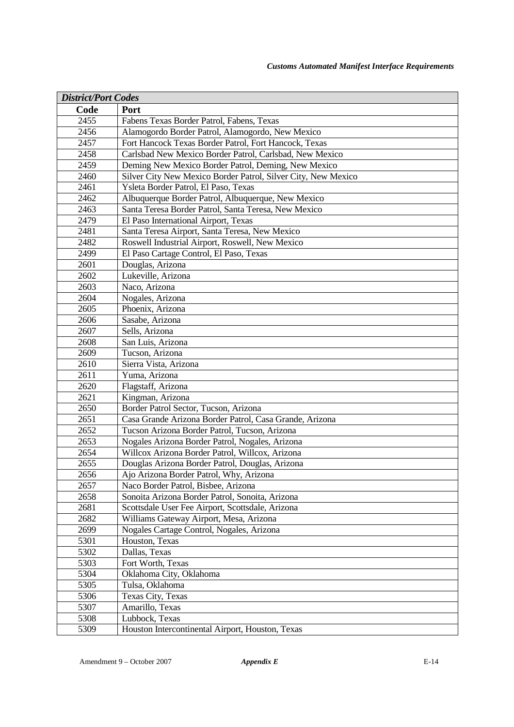| <b>District/Port Codes</b> |                                                               |
|----------------------------|---------------------------------------------------------------|
| Code                       | Port                                                          |
| 2455                       | Fabens Texas Border Patrol, Fabens, Texas                     |
| 2456                       | Alamogordo Border Patrol, Alamogordo, New Mexico              |
| 2457                       | Fort Hancock Texas Border Patrol, Fort Hancock, Texas         |
| 2458                       | Carlsbad New Mexico Border Patrol, Carlsbad, New Mexico       |
| 2459                       | Deming New Mexico Border Patrol, Deming, New Mexico           |
| 2460                       | Silver City New Mexico Border Patrol, Silver City, New Mexico |
| 2461                       | Ysleta Border Patrol, El Paso, Texas                          |
| 2462                       | Albuquerque Border Patrol, Albuquerque, New Mexico            |
| 2463                       | Santa Teresa Border Patrol, Santa Teresa, New Mexico          |
| 2479                       | El Paso International Airport, Texas                          |
| 2481                       | Santa Teresa Airport, Santa Teresa, New Mexico                |
| 2482                       | Roswell Industrial Airport, Roswell, New Mexico               |
| 2499                       | El Paso Cartage Control, El Paso, Texas                       |
| 2601                       | Douglas, Arizona                                              |
| 2602                       | Lukeville, Arizona                                            |
| 2603                       | Naco, Arizona                                                 |
| 2604                       | Nogales, Arizona                                              |
| 2605                       | Phoenix, Arizona                                              |
| 2606                       | Sasabe, Arizona                                               |
| 2607                       | Sells, Arizona                                                |
| 2608                       | San Luis, Arizona                                             |
| 2609                       | Tucson, Arizona                                               |
| 2610                       | Sierra Vista, Arizona                                         |
| 2611                       | Yuma, Arizona                                                 |
| 2620                       | Flagstaff, Arizona                                            |
| 2621                       | Kingman, Arizona                                              |
| 2650                       | Border Patrol Sector, Tucson, Arizona                         |
| 2651                       | Casa Grande Arizona Border Patrol, Casa Grande, Arizona       |
| 2652                       | Tucson Arizona Border Patrol, Tucson, Arizona                 |
| 2653                       | Nogales Arizona Border Patrol, Nogales, Arizona               |
| 2654                       | Willcox Arizona Border Patrol, Willcox, Arizona               |
| 2655                       | Douglas Arizona Border Patrol, Douglas, Arizona               |
| 2656                       | Ajo Arizona Border Patrol, Why, Arizona                       |
| 2657                       | Naco Border Patrol, Bisbee, Arizona                           |
| 2658                       | Sonoita Arizona Border Patrol, Sonoita, Arizona               |
| 2681                       | Scottsdale User Fee Airport, Scottsdale, Arizona              |
| 2682                       | Williams Gateway Airport, Mesa, Arizona                       |
| 2699                       | Nogales Cartage Control, Nogales, Arizona                     |
| 5301                       | Houston, Texas                                                |
| 5302                       | Dallas, Texas                                                 |
| 5303                       | Fort Worth, Texas                                             |
| 5304                       | Oklahoma City, Oklahoma                                       |
| 5305                       | Tulsa, Oklahoma                                               |
| 5306                       | Texas City, Texas                                             |
| 5307                       | Amarillo, Texas                                               |
| 5308                       | Lubbock, Texas                                                |
| 5309                       | Houston Intercontinental Airport, Houston, Texas              |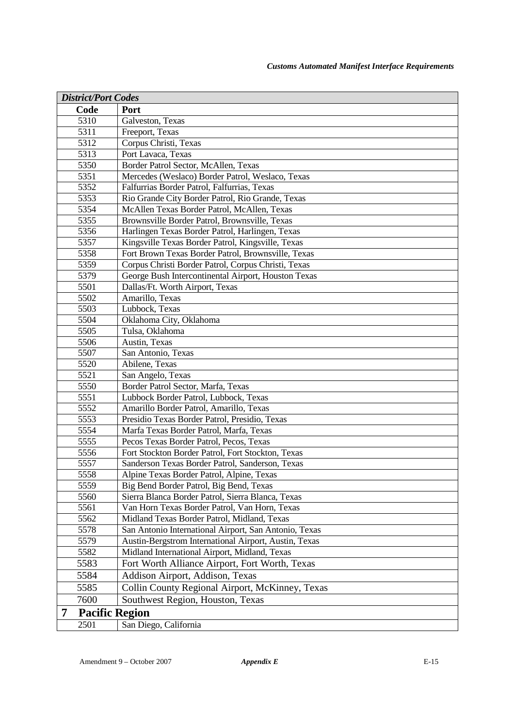| <b>District/Port Codes</b> |                                                                                              |
|----------------------------|----------------------------------------------------------------------------------------------|
| Code                       | Port                                                                                         |
| 5310                       | Galveston, Texas                                                                             |
| 5311                       | Freeport, Texas                                                                              |
| 5312                       | Corpus Christi, Texas                                                                        |
| 5313                       | Port Lavaca, Texas                                                                           |
| 5350                       | Border Patrol Sector, McAllen, Texas                                                         |
| 5351                       | Mercedes (Weslaco) Border Patrol, Weslaco, Texas                                             |
| 5352                       | Falfurrias Border Patrol, Falfurrias, Texas                                                  |
| 5353                       | Rio Grande City Border Patrol, Rio Grande, Texas                                             |
| 5354                       | McAllen Texas Border Patrol, McAllen, Texas                                                  |
| 5355                       | Brownsville Border Patrol, Brownsville, Texas                                                |
| 5356                       | Harlingen Texas Border Patrol, Harlingen, Texas                                              |
| 5357                       | Kingsville Texas Border Patrol, Kingsville, Texas                                            |
| 5358                       | Fort Brown Texas Border Patrol, Brownsville, Texas                                           |
| 5359                       | Corpus Christi Border Patrol, Corpus Christi, Texas                                          |
| 5379                       | George Bush Intercontinental Airport, Houston Texas                                          |
| 5501                       | Dallas/Ft. Worth Airport, Texas                                                              |
| 5502                       | Amarillo, Texas                                                                              |
| 5503                       | Lubbock, Texas                                                                               |
| 5504                       | Oklahoma City, Oklahoma                                                                      |
| 5505                       | Tulsa, Oklahoma                                                                              |
| 5506                       | Austin, Texas                                                                                |
| 5507                       | San Antonio, Texas                                                                           |
| 5520                       | Abilene, Texas                                                                               |
| 5521                       | San Angelo, Texas                                                                            |
| 5550                       | Border Patrol Sector, Marfa, Texas                                                           |
| 5551                       | Lubbock Border Patrol, Lubbock, Texas                                                        |
| 5552                       | Amarillo Border Patrol, Amarillo, Texas                                                      |
| 5553                       | Presidio Texas Border Patrol, Presidio, Texas                                                |
| 5554<br>5555               | Marfa Texas Border Patrol, Marfa, Texas                                                      |
| 5556                       | Pecos Texas Border Patrol, Pecos, Texas<br>Fort Stockton Border Patrol, Fort Stockton, Texas |
| 5557                       | Sanderson Texas Border Patrol, Sanderson, Texas                                              |
| 5558                       | Alpine Texas Border Patrol, Alpine, Texas                                                    |
| 5559                       | Big Bend Border Patrol, Big Bend, Texas                                                      |
| 5560                       | Sierra Blanca Border Patrol, Sierra Blanca, Texas                                            |
| 5561                       | Van Horn Texas Border Patrol, Van Horn, Texas                                                |
| 5562                       | Midland Texas Border Patrol, Midland, Texas                                                  |
| 5578                       | San Antonio International Airport, San Antonio, Texas                                        |
| 5579                       | Austin-Bergstrom International Airport, Austin, Texas                                        |
| 5582                       | Midland International Airport, Midland, Texas                                                |
| 5583                       | Fort Worth Alliance Airport, Fort Worth, Texas                                               |
| 5584                       | Addison Airport, Addison, Texas                                                              |
| 5585                       | Collin County Regional Airport, McKinney, Texas                                              |
| 7600                       |                                                                                              |
|                            | Southwest Region, Houston, Texas                                                             |
| 7                          | <b>Pacific Region</b>                                                                        |
| 2501                       | San Diego, California                                                                        |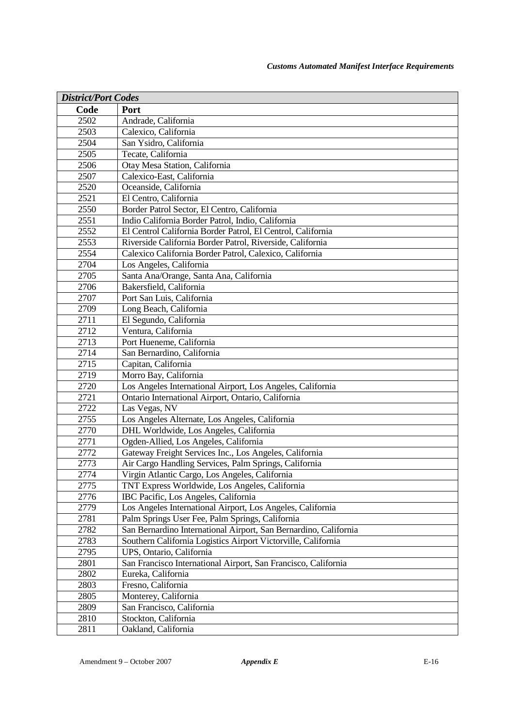| <b>District/Port Codes</b> |                                                                  |
|----------------------------|------------------------------------------------------------------|
| Code                       | Port                                                             |
| 2502                       | Andrade, California                                              |
| 2503                       | Calexico, California                                             |
| 2504                       | San Ysidro, California                                           |
| 2505                       | Tecate, California                                               |
| 2506                       | Otay Mesa Station, California                                    |
| 2507                       | Calexico-East, California                                        |
| 2520                       | Oceanside, California                                            |
| 2521                       | El Centro, California                                            |
| 2550                       | Border Patrol Sector, El Centro, California                      |
| 2551                       | Indio California Border Patrol, Indio, California                |
| 2552                       | El Centrol California Border Patrol, El Centrol, California      |
| 2553                       | Riverside California Border Patrol, Riverside, California        |
| 2554                       | Calexico California Border Patrol, Calexico, California          |
| 2704                       | Los Angeles, California                                          |
| 2705                       | Santa Ana/Orange, Santa Ana, California                          |
| 2706                       | Bakersfield, California                                          |
| 2707                       | Port San Luis, California                                        |
| 2709                       | Long Beach, California                                           |
| 2711                       | El Segundo, California                                           |
| $\frac{1}{27}12$           | Ventura, California                                              |
| 2713                       | Port Hueneme, California                                         |
| 2714                       | San Bernardino, California                                       |
| 2715                       | Capitan, California                                              |
| 2719                       | Morro Bay, California                                            |
| 2720                       | Los Angeles International Airport, Los Angeles, California       |
| 2721                       | Ontario International Airport, Ontario, California               |
| 2722                       | Las Vegas, NV                                                    |
| 2755                       | Los Angeles Alternate, Los Angeles, California                   |
| 2770                       | DHL Worldwide, Los Angeles, California                           |
| 2771                       | Ogden-Allied, Los Angeles, California                            |
| 2772                       | Gateway Freight Services Inc., Los Angeles, California           |
| 2773                       | Air Cargo Handling Services, Palm Springs, California            |
| 2774                       | Virgin Atlantic Cargo, Los Angeles, California                   |
| 2775                       | TNT Express Worldwide, Los Angeles, California                   |
| 2776                       | IBC Pacific, Los Angeles, California                             |
| 2779                       | Los Angeles International Airport, Los Angeles, California       |
| 2781                       | Palm Springs User Fee, Palm Springs, California                  |
| 2782                       | San Bernardino International Airport, San Bernardino, California |
| 2783                       | Southern California Logistics Airport Victorville, California    |
| 2795                       | UPS, Ontario, California                                         |
| 2801                       | San Francisco International Airport, San Francisco, California   |
| 2802                       | Eureka, California                                               |
| 2803                       | Fresno, California                                               |
| 2805                       | Monterey, California                                             |
| 2809                       | San Francisco, California                                        |
| 2810                       | Stockton, California                                             |
| 2811                       | Oakland, California                                              |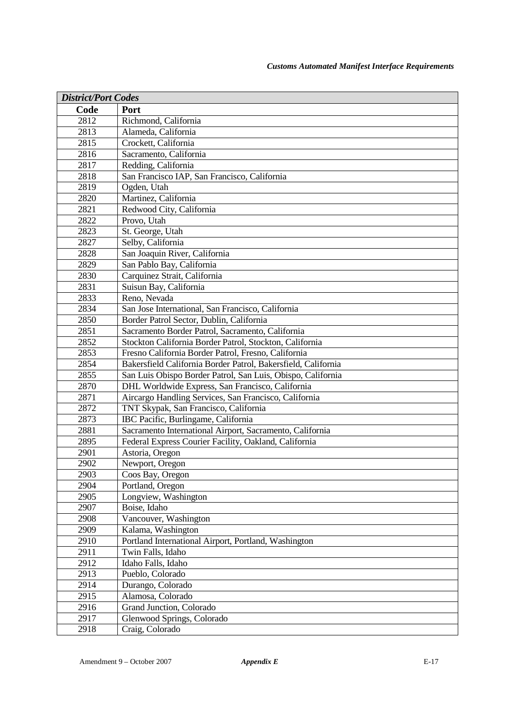| <b>District/Port Codes</b> |                                                               |
|----------------------------|---------------------------------------------------------------|
| Code                       | Port                                                          |
| 2812                       | Richmond, California                                          |
| 2813                       | Alameda, California                                           |
| 2815                       | Crockett, California                                          |
| 2816                       | Sacramento, California                                        |
| 2817                       | Redding, California                                           |
| 2818                       | San Francisco IAP, San Francisco, California                  |
| 2819                       | Ogden, Utah                                                   |
| 2820                       | Martinez, California                                          |
| 2821                       | Redwood City, California                                      |
| $\frac{1}{2822}$           | Provo, Utah                                                   |
| 2823                       | St. George, Utah                                              |
| 2827                       | Selby, California                                             |
| 2828                       | San Joaquin River, California                                 |
| 2829                       | San Pablo Bay, California                                     |
| 2830                       | Carquinez Strait, California                                  |
| 2831                       | Suisun Bay, California                                        |
| 2833                       | Reno, Nevada                                                  |
| 2834                       | San Jose International, San Francisco, California             |
| 2850                       | Border Patrol Sector, Dublin, California                      |
| 2851                       | Sacramento Border Patrol, Sacramento, California              |
| 2852                       | Stockton California Border Patrol, Stockton, California       |
| 2853                       | Fresno California Border Patrol, Fresno, California           |
| 2854                       | Bakersfield California Border Patrol, Bakersfield, California |
| 2855                       | San Luis Obispo Border Patrol, San Luis, Obispo, California   |
| 2870                       | DHL Worldwide Express, San Francisco, California              |
| 2871                       | Aircargo Handling Services, San Francisco, California         |
| 2872                       | TNT Skypak, San Francisco, California                         |
| 2873                       | IBC Pacific, Burlingame, California                           |
| 2881                       | Sacramento International Airport, Sacramento, California      |
| 2895                       | Federal Express Courier Facility, Oakland, California         |
| 2901                       | Astoria, Oregon                                               |
| 2902                       | Newport, Oregon                                               |
| 2903                       | Coos Bay, Oregon                                              |
| 2904                       | Portland, Oregon                                              |
| 2905                       | Longview, Washington                                          |
| 2907                       | Boise, Idaho                                                  |
| 2908                       | Vancouver, Washington                                         |
| 2909                       | Kalama, Washington                                            |
| 2910                       | Portland International Airport, Portland, Washington          |
| 2911                       | Twin Falls, Idaho                                             |
| 2912                       | Idaho Falls, Idaho                                            |
| 2913                       | Pueblo, Colorado                                              |
| 2914                       | Durango, Colorado                                             |
| 2915                       | Alamosa, Colorado                                             |
| 2916                       | Grand Junction, Colorado                                      |
| 2917                       | Glenwood Springs, Colorado                                    |
| 2918                       | Craig, Colorado                                               |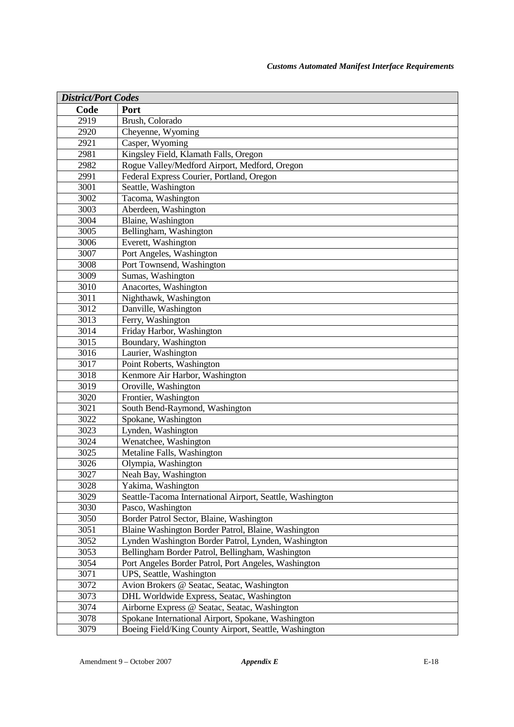| <b>District/Port Codes</b> |                                                                        |
|----------------------------|------------------------------------------------------------------------|
| Code                       | Port                                                                   |
| 2919                       | Brush, Colorado                                                        |
| 2920                       | Cheyenne, Wyoming                                                      |
| 2921                       | Casper, Wyoming                                                        |
| 2981                       | Kingsley Field, Klamath Falls, Oregon                                  |
| 2982                       | Rogue Valley/Medford Airport, Medford, Oregon                          |
| 2991                       | Federal Express Courier, Portland, Oregon                              |
| 3001                       | Seattle, Washington                                                    |
| 3002                       | Tacoma, Washington                                                     |
| 3003                       | Aberdeen, Washington                                                   |
| 3004                       | Blaine, Washington                                                     |
| 3005                       | Bellingham, Washington                                                 |
| 3006                       | Everett, Washington                                                    |
| 3007                       | Port Angeles, Washington                                               |
| 3008                       | Port Townsend, Washington                                              |
| 3009                       | Sumas, Washington                                                      |
| 3010                       | Anacortes, Washington                                                  |
| 3011                       | Nighthawk, Washington                                                  |
| 3012                       | Danville, Washington                                                   |
| 3013                       | Ferry, Washington                                                      |
| $\overline{3}014$          | Friday Harbor, Washington                                              |
| 3015                       | Boundary, Washington                                                   |
| 3016                       | Laurier, Washington                                                    |
| 3017                       | Point Roberts, Washington                                              |
| 3018                       | Kenmore Air Harbor, Washington                                         |
| 3019                       | Oroville, Washington                                                   |
| 3020                       | Frontier, Washington                                                   |
| 3021                       | South Bend-Raymond, Washington                                         |
| 3022                       | Spokane, Washington                                                    |
| 3023                       | Lynden, Washington                                                     |
| 3024                       | Wenatchee, Washington                                                  |
| 3025                       | Metaline Falls, Washington                                             |
| 3026                       | Olympia, Washington                                                    |
| 3027                       | Neah Bay, Washington                                                   |
| 3028                       | Yakima, Washington                                                     |
| 3029                       | Seattle-Tacoma International Airport, Seattle, Washington              |
| 3030                       | Pasco, Washington                                                      |
| 3050                       | Border Patrol Sector, Blaine, Washington                               |
| 3051                       | Blaine Washington Border Patrol, Blaine, Washington                    |
| 3052                       | Lynden Washington Border Patrol, Lynden, Washington                    |
| 3053                       | Bellingham Border Patrol, Bellingham, Washington                       |
| 3054<br>3071               | Port Angeles Border Patrol, Port Angeles, Washington                   |
| 3072                       | UPS, Seattle, Washington<br>Avion Brokers @ Seatac, Seatac, Washington |
| 3073                       | DHL Worldwide Express, Seatac, Washington                              |
| 3074                       | Airborne Express @ Seatac, Seatac, Washington                          |
| 3078                       | Spokane International Airport, Spokane, Washington                     |
| 3079                       | Boeing Field/King County Airport, Seattle, Washington                  |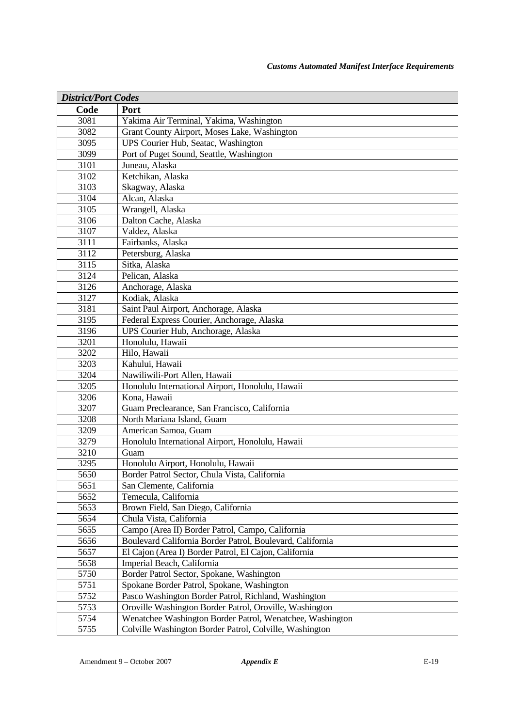| <b>District/Port Codes</b> |                                                           |
|----------------------------|-----------------------------------------------------------|
| Code                       | Port                                                      |
| 3081                       | Yakima Air Terminal, Yakima, Washington                   |
| 3082                       | Grant County Airport, Moses Lake, Washington              |
| 3095                       | UPS Courier Hub, Seatac, Washington                       |
| 3099                       | Port of Puget Sound, Seattle, Washington                  |
| 3101                       | Juneau, Alaska                                            |
| 3102                       | Ketchikan, Alaska                                         |
| 3103                       | Skagway, Alaska                                           |
| 3104                       | Alcan, Alaska                                             |
| 3105                       | Wrangell, Alaska                                          |
| 3106                       | Dalton Cache, Alaska                                      |
| 3107                       | Valdez, Alaska                                            |
| 3111                       | Fairbanks, Alaska                                         |
| 3112                       | Petersburg, Alaska                                        |
| 3115                       | Sitka, Alaska                                             |
| 3124                       | Pelican, Alaska                                           |
| 3126                       | Anchorage, Alaska                                         |
| 3127                       | Kodiak, Alaska                                            |
| 3181                       | Saint Paul Airport, Anchorage, Alaska                     |
| 3195                       | Federal Express Courier, Anchorage, Alaska                |
| 3196                       | UPS Courier Hub, Anchorage, Alaska                        |
| 3201                       | Honolulu, Hawaii                                          |
| 3202                       | Hilo, Hawaii                                              |
| 3203                       | Kahului, Hawaii                                           |
| 3204                       | Nawiliwili-Port Allen, Hawaii                             |
| 3205                       | Honolulu International Airport, Honolulu, Hawaii          |
| 3206                       | Kona, Hawaii                                              |
| 3207                       | Guam Preclearance, San Francisco, California              |
| 3208                       | North Mariana Island, Guam                                |
| 3209                       | American Samoa, Guam                                      |
| 3279                       | Honolulu International Airport, Honolulu, Hawaii          |
| 3210                       | Guam                                                      |
| 3295                       | Honolulu Airport, Honolulu, Hawaii                        |
| 5650                       | Border Patrol Sector, Chula Vista, California             |
| 5651                       | San Clemente, California                                  |
| 5652                       | Temecula, California                                      |
| 5653                       | Brown Field, San Diego, California                        |
| 5654                       | Chula Vista, California                                   |
| 5655                       | Campo (Area II) Border Patrol, Campo, California          |
| 5656                       | Boulevard California Border Patrol, Boulevard, California |
| 5657                       | El Cajon (Area I) Border Patrol, El Cajon, California     |
| 5658                       | Imperial Beach, California                                |
| 5750                       | Border Patrol Sector, Spokane, Washington                 |
| 5751                       | Spokane Border Patrol, Spokane, Washington                |
| 5752                       | Pasco Washington Border Patrol, Richland, Washington      |
| 5753                       | Oroville Washington Border Patrol, Oroville, Washington   |
| 5754                       | Wenatchee Washington Border Patrol, Wenatchee, Washington |
| 5755                       | Colville Washington Border Patrol, Colville, Washington   |